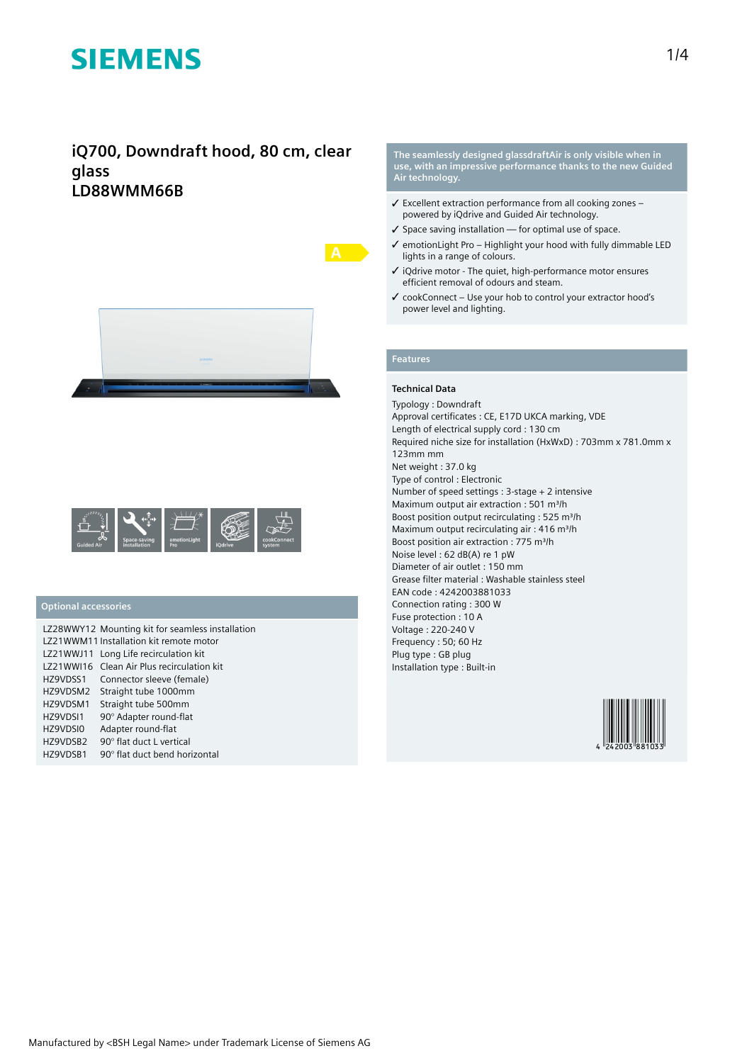# **iQ700, Downdraft hood, 80 cm, clear glass LD88WMM66B**





## **Optional accessories**

|           | LZ28WWY12 Mounting kit for seamless installation |
|-----------|--------------------------------------------------|
|           | LZ21WWM11 Installation kit remote motor          |
| LZ21WWJ11 | Long Life recirculation kit                      |
|           | LZ21WWI16 Clean Air Plus recirculation kit       |
| HZ9VDSS1  | Connector sleeve (female)                        |
| HZ9VDSM2  | Straight tube 1000mm                             |
| HZ9VDSM1  | Straight tube 500mm                              |
| HZ9VDSI1  | 90° Adapter round-flat                           |
| HZ9VDSI0  | Adapter round-flat                               |
| HZ9VDSB2  | 90° flat duct L vertical                         |
| HZ9VDSB1  | 90° flat duct bend horizontal                    |

**The seamlessly designed glassdraftAir is only visible when in use, with an impressive performance thanks to the new Guided Air technology.**

- ✓ Excellent extraction performance from all cooking zones powered by iQdrive and Guided Air technology.
- ✓ Space saving installation for optimal use of space.
- ✓ emotionLight Pro Highlight your hood with fully dimmable LED lights in a range of colours.
- ✓ iQdrive motor The quiet, high-performance motor ensures efficient removal of odours and steam.
- ✓ cookConnect Use your hob to control your extractor hood's power level and lighting.

# **Features**

### **Technical Data**

Typology : Downdraft Approval certificates : CE, E17D UKCA marking, VDE Length of electrical supply cord : 130 cm Required niche size for installation (HxWxD) : 703mm x 781.0mm x 123mm mm Net weight : 37.0 kg Type of control : Electronic Number of speed settings : 3-stage + 2 intensive Maximum output air extraction : 501 m<sup>3</sup>/h Boost position output recirculating : 525 m<sup>3</sup>/h Maximum output recirculating air : 416 m<sup>3</sup>/h Boost position air extraction : 775 m<sup>3</sup>/h Noise level : 62 dB(A) re 1 pW Diameter of air outlet : 150 mm Grease filter material : Washable stainless steel EAN code : 4242003881033 Connection rating : 300 W Fuse protection : 10 A Voltage : 220-240 V Frequency : 50; 60 Hz Plug type : GB plug Installation type : Built-in

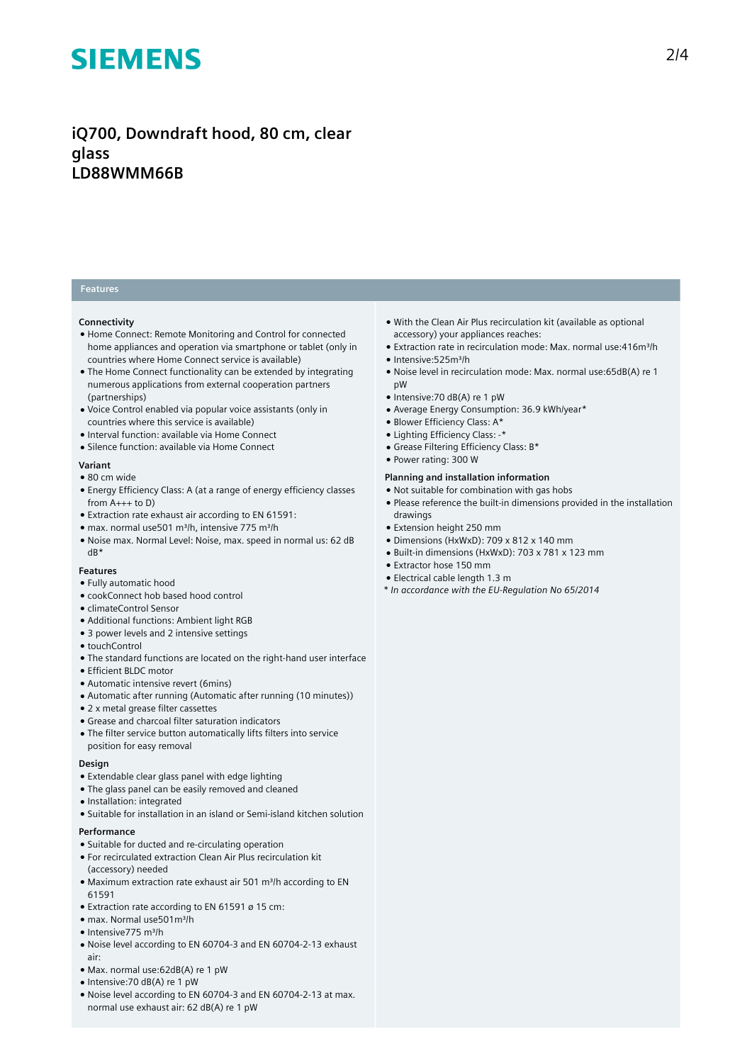# **iQ700, Downdraft hood, 80 cm, clear glass LD88WMM66B**

## **Features**

#### **Connectivity**

- Home Connect: Remote Monitoring and Control for connected home appliances and operation via smartphone or tablet (only in countries where Home Connect service is available)
- The Home Connect functionality can be extended by integrating numerous applications from external cooperation partners (partnerships)
- Voice Control enabled via popular voice assistants (only in countries where this service is available)
- Interval function: available via Home Connect
- Silence function: available via Home Connect

### **Variant**

- 80 cm wide
- Energy Efficiency Class: A (at a range of energy efficiency classes from  $A_{+++}$  to D)
- Extraction rate exhaust air according to EN 61591:
- max. normal use501 m³/h, intensive 775 m³/h
- Noise max. Normal Level: Noise, max. speed in normal us: 62 dB dB\*

### **Features**

- Fully automatic hood
- cookConnect hob based hood control
- climateControl Sensor
- Additional functions: Ambient light RGB
- 3 power levels and 2 intensive settings
- touchControl
- The standard functions are located on the right-hand user interface
- Efficient BLDC motor
- Automatic intensive revert (6mins)
- Automatic after running (Automatic after running (10 minutes))
- 2 x metal grease filter cassettes
- Grease and charcoal filter saturation indicators
- The filter service button automatically lifts filters into service position for easy removal

### **Design**

- Extendable clear glass panel with edge lighting
- The glass panel can be easily removed and cleaned
- Installation: integrated
- Suitable for installation in an island or Semi-island kitchen solution

#### **Performance**

- Suitable for ducted and re-circulating operation
- For recirculated extraction Clean Air Plus recirculation kit (accessory) needed
- Maximum extraction rate exhaust air 501 m<sup>3</sup>/h according to EN 61591
- Extraction rate according to EN 61591 ø 15 cm:
- max. Normal use501m³/h
- Intensive775 m³/h
- Noise level according to EN 60704-3 and EN 60704-2-13 exhaust air:
- Max. normal use:62dB(A) re 1 pW
- Intensive:70 dB(A) re 1 pW
- Noise level according to EN 60704-3 and EN 60704-2-13 at max. normal use exhaust air: 62 dB(A) re 1 pW
- With the Clean Air Plus recirculation kit (available as optional accessory) your appliances reaches:
- Extraction rate in recirculation mode: Max. normal use: 416m<sup>3</sup>/h
- Intensive:525m³/h
- Noise level in recirculation mode: Max. normal use:65dB(A) re 1 pW
- Intensive:70 dB(A) re 1 pW
- Average Energy Consumption: 36.9 kWh/year\*
- Blower Efficiency Class: A\*
- Lighting Efficiency Class: -\*
- Grease Filtering Efficiency Class: B\*
- Power rating: 300 W

## **Planning and installation information**

- Not suitable for combination with gas hobs
- Please reference the built-in dimensions provided in the installation drawings
- Extension height 250 mm
- Dimensions (HxWxD): 709 x 812 x 140 mm
- Built-in dimensions (HxWxD): 703 x 781 x 123 mm
- Extractor hose 150 mm
- Electrical cable length 1.3 m
- *\* In accordance with the EU-Regulation No 65/2014*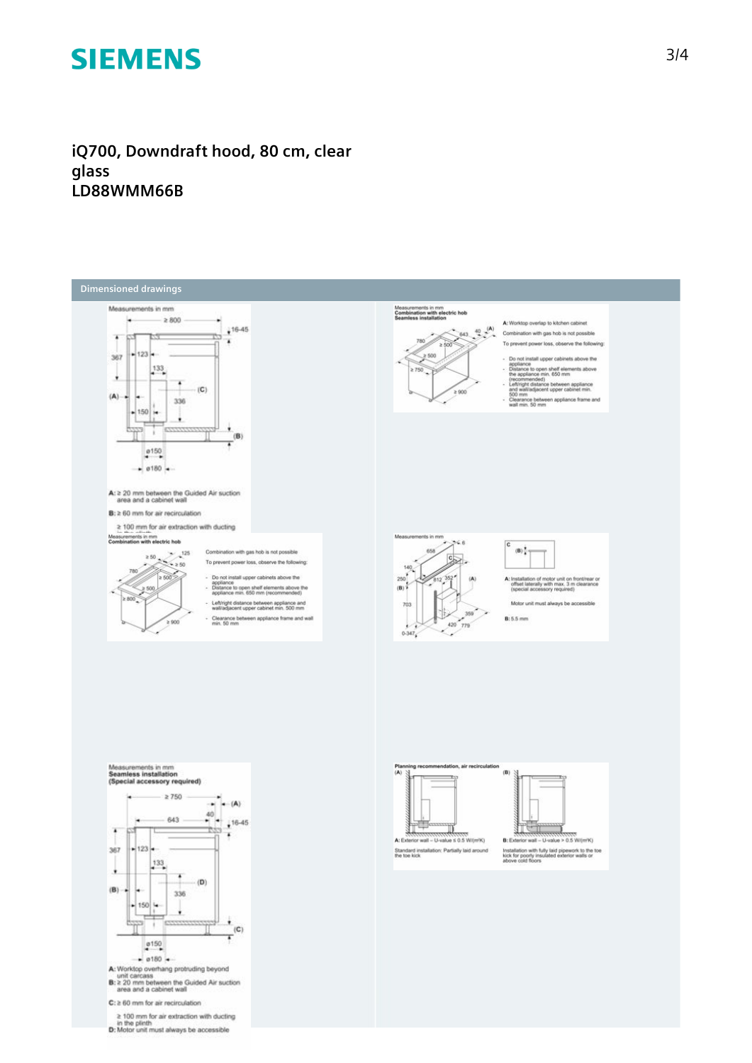**iQ700, Downdraft hood, 80 cm, clear glass LD88WMM66B**



C: ≥ 60 mm for air recirculation

 $\geq 100$  mm for air extraction with ducting<br>in the plinth<br>D: Motor unit must always be accessible